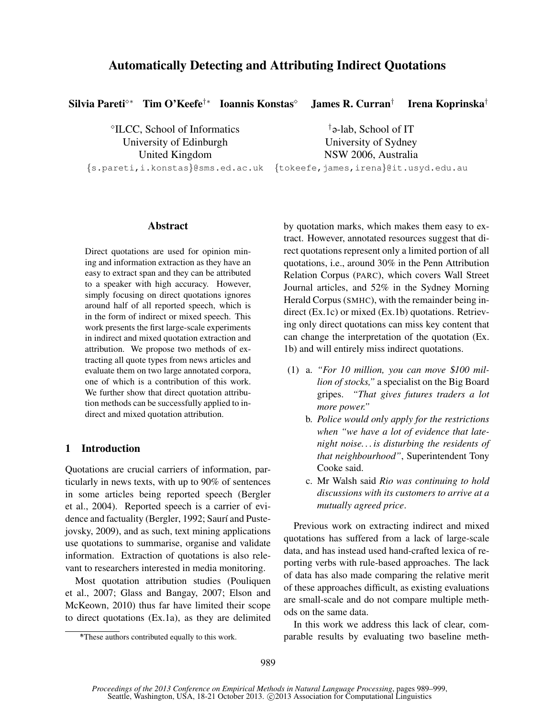# Automatically Detecting and Attributing Indirect Quotations

Silvia Pareti<sup>∘∗</sup> Tim O'Keefe<sup>†</sup>\* Ioannis Konstas<sup>°</sup> James R. Curran<sup>†</sup>

 $\textdegree$ ILCC, School of Informatics  $\textdegree$   $\textdegree$ University of Edinburgh University of Sydney United Kingdom NSW 2006, Australia {s.pareti,i.konstas}@sms.ed.ac.uk {tokeefe,james,irena}@it.usyd.edu.au

Irena Koprinska†

 $^{\dagger}$ <sub>2</sub>-lab, School of IT

#### Abstract

Direct quotations are used for opinion mining and information extraction as they have an easy to extract span and they can be attributed to a speaker with high accuracy. However, simply focusing on direct quotations ignores around half of all reported speech, which is in the form of indirect or mixed speech. This work presents the first large-scale experiments in indirect and mixed quotation extraction and attribution. We propose two methods of extracting all quote types from news articles and evaluate them on two large annotated corpora, one of which is a contribution of this work. We further show that direct quotation attribution methods can be successfully applied to indirect and mixed quotation attribution.

# 1 Introduction

Quotations are crucial carriers of information, particularly in news texts, with up to 90% of sentences in some articles being reported speech (Bergler et al., 2004). Reported speech is a carrier of evidence and factuality (Bergler, 1992; Saurí and Pustejovsky, 2009), and as such, text mining applications use quotations to summarise, organise and validate information. Extraction of quotations is also relevant to researchers interested in media monitoring.

Most quotation attribution studies (Pouliquen et al., 2007; Glass and Bangay, 2007; Elson and McKeown, 2010) thus far have limited their scope to direct quotations (Ex.1a), as they are delimited by quotation marks, which makes them easy to extract. However, annotated resources suggest that direct quotations represent only a limited portion of all quotations, i.e., around 30% in the Penn Attribution Relation Corpus (PARC), which covers Wall Street Journal articles, and 52% in the Sydney Morning Herald Corpus (SMHC), with the remainder being indirect (Ex.1c) or mixed (Ex.1b) quotations. Retrieving only direct quotations can miss key content that can change the interpretation of the quotation (Ex. 1b) and will entirely miss indirect quotations.

- (1) a. *"For 10 million, you can move* \$*100 million of stocks,"* a specialist on the Big Board gripes. *"That gives futures traders a lot more power."*
	- b. *Police would only apply for the restrictions when "we have a lot of evidence that latenight noise. . . is disturbing the residents of that neighbourhood"*, Superintendent Tony Cooke said.
	- c. Mr Walsh said *Rio was continuing to hold discussions with its customers to arrive at a mutually agreed price*.

Previous work on extracting indirect and mixed quotations has suffered from a lack of large-scale data, and has instead used hand-crafted lexica of reporting verbs with rule-based approaches. The lack of data has also made comparing the relative merit of these approaches difficult, as existing evaluations are small-scale and do not compare multiple methods on the same data.

In this work we address this lack of clear, comparable results by evaluating two baseline meth-

<sup>∗</sup> \*These authors contributed equally to this work.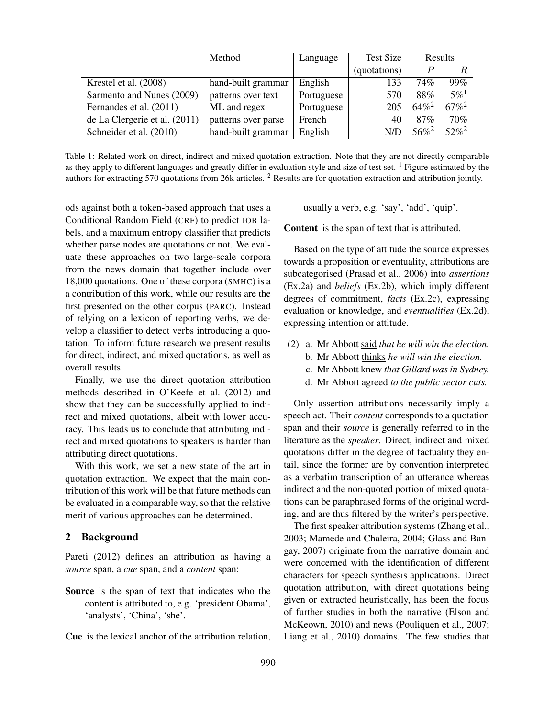|                               | Method              | Language   | <b>Test Size</b> |          | Results            |
|-------------------------------|---------------------|------------|------------------|----------|--------------------|
|                               |                     |            | (quotations)     |          | R.                 |
| Krestel et al. (2008)         | hand-built grammar  | English    | 133              | 74%      | 99%                |
| Sarmento and Nunes (2009)     | patterns over text  | Portuguese | 570              | 88%      | $5\%$ <sup>1</sup> |
| Fernandes et al. (2011)       | ML and regex        | Portuguese | 205              | $64\%^2$ | $67\%^2$           |
| de La Clergerie et al. (2011) | patterns over parse | French     | 40               | 87%      | 70%                |
| Schneider et al. (2010)       | hand-built grammar  | English    | N/D              | $56\%^2$ | $52\%^2$           |

Table 1: Related work on direct, indirect and mixed quotation extraction. Note that they are not directly comparable as they apply to different languages and greatly differ in evaluation style and size of test set.  $\frac{1}{1}$  Figure estimated by the authors for extracting 570 quotations from 26k articles. <sup>2</sup> Results are for quotation extraction and attribution jointly.

ods against both a token-based approach that uses a Conditional Random Field (CRF) to predict IOB labels, and a maximum entropy classifier that predicts whether parse nodes are quotations or not. We evaluate these approaches on two large-scale corpora from the news domain that together include over 18,000 quotations. One of these corpora (SMHC) is a a contribution of this work, while our results are the first presented on the other corpus (PARC). Instead of relying on a lexicon of reporting verbs, we develop a classifier to detect verbs introducing a quotation. To inform future research we present results for direct, indirect, and mixed quotations, as well as overall results.

Finally, we use the direct quotation attribution methods described in O'Keefe et al. (2012) and show that they can be successfully applied to indirect and mixed quotations, albeit with lower accuracy. This leads us to conclude that attributing indirect and mixed quotations to speakers is harder than attributing direct quotations.

With this work, we set a new state of the art in quotation extraction. We expect that the main contribution of this work will be that future methods can be evaluated in a comparable way, so that the relative merit of various approaches can be determined.

#### 2 Background

Pareti (2012) defines an attribution as having a *source* span, a *cue* span, and a *content* span:

Source is the span of text that indicates who the content is attributed to, e.g. 'president Obama', 'analysts', 'China', 'she'.

Cue is the lexical anchor of the attribution relation,

usually a verb, e.g. 'say', 'add', 'quip'.

Content is the span of text that is attributed.

Based on the type of attitude the source expresses towards a proposition or eventuality, attributions are subcategorised (Prasad et al., 2006) into *assertions* (Ex.2a) and *beliefs* (Ex.2b), which imply different degrees of commitment, *facts* (Ex.2c), expressing evaluation or knowledge, and *eventualities* (Ex.2d), expressing intention or attitude.

- (2) a. Mr Abbott said *that he will win the election.*
	- b. Mr Abbott thinks *he will win the election.*
	- c. Mr Abbott knew *that Gillard was in Sydney.*
	- d. Mr Abbott agreed *to the public sector cuts.*

Only assertion attributions necessarily imply a speech act. Their *content* corresponds to a quotation span and their *source* is generally referred to in the literature as the *speaker*. Direct, indirect and mixed quotations differ in the degree of factuality they entail, since the former are by convention interpreted as a verbatim transcription of an utterance whereas indirect and the non-quoted portion of mixed quotations can be paraphrased forms of the original wording, and are thus filtered by the writer's perspective.

The first speaker attribution systems (Zhang et al., 2003; Mamede and Chaleira, 2004; Glass and Bangay, 2007) originate from the narrative domain and were concerned with the identification of different characters for speech synthesis applications. Direct quotation attribution, with direct quotations being given or extracted heuristically, has been the focus of further studies in both the narrative (Elson and McKeown, 2010) and news (Pouliquen et al., 2007; Liang et al., 2010) domains. The few studies that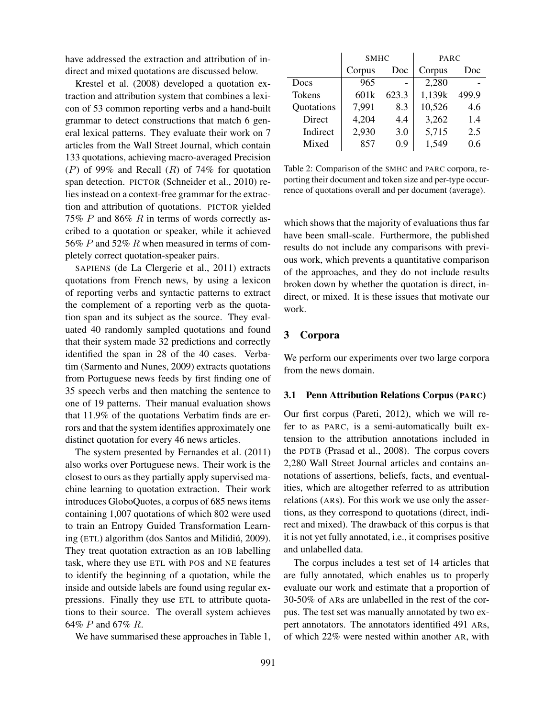have addressed the extraction and attribution of indirect and mixed quotations are discussed below.

Krestel et al. (2008) developed a quotation extraction and attribution system that combines a lexicon of 53 common reporting verbs and a hand-built grammar to detect constructions that match 6 general lexical patterns. They evaluate their work on 7 articles from the Wall Street Journal, which contain 133 quotations, achieving macro-averaged Precision (P) of 99% and Recall  $(R)$  of 74% for quotation span detection. PICTOR (Schneider et al., 2010) relies instead on a context-free grammar for the extraction and attribution of quotations. PICTOR yielded 75% P and 86% R in terms of words correctly ascribed to a quotation or speaker, while it achieved 56% P and 52% R when measured in terms of completely correct quotation-speaker pairs.

SAPIENS (de La Clergerie et al., 2011) extracts quotations from French news, by using a lexicon of reporting verbs and syntactic patterns to extract the complement of a reporting verb as the quotation span and its subject as the source. They evaluated 40 randomly sampled quotations and found that their system made 32 predictions and correctly identified the span in 28 of the 40 cases. Verbatim (Sarmento and Nunes, 2009) extracts quotations from Portuguese news feeds by first finding one of 35 speech verbs and then matching the sentence to one of 19 patterns. Their manual evaluation shows that 11.9% of the quotations Verbatim finds are errors and that the system identifies approximately one distinct quotation for every 46 news articles.

The system presented by Fernandes et al. (2011) also works over Portuguese news. Their work is the closest to ours as they partially apply supervised machine learning to quotation extraction. Their work introduces GloboQuotes, a corpus of 685 news items containing 1,007 quotations of which 802 were used to train an Entropy Guided Transformation Learning (ETL) algorithm (dos Santos and Milidiú, 2009). They treat quotation extraction as an IOB labelling task, where they use ETL with POS and NE features to identify the beginning of a quotation, while the inside and outside labels are found using regular expressions. Finally they use ETL to attribute quotations to their source. The overall system achieves 64% P and 67% R.

We have summarised these approaches in Table 1,

|               | <b>SMHC</b>      |       | PARC   |       |  |
|---------------|------------------|-------|--------|-------|--|
|               | Corpus           | Doc   | Corpus | Doc   |  |
| Docs          | 965              |       | 2,280  |       |  |
| <b>Tokens</b> | 601 <sub>k</sub> | 623.3 | 1,139k | 499.9 |  |
| Quotations    | 7,991            | 8.3   | 10,526 | 4.6   |  |
| Direct        | 4,204            | 4.4   | 3,262  | 1.4   |  |
| Indirect      | 2,930            | 3.0   | 5,715  | 2.5   |  |
| Mixed         | 857              | 0.9   | 1,549  | 0.6   |  |

Table 2: Comparison of the SMHC and PARC corpora, reporting their document and token size and per-type occurrence of quotations overall and per document (average).

which shows that the majority of evaluations thus far have been small-scale. Furthermore, the published results do not include any comparisons with previous work, which prevents a quantitative comparison of the approaches, and they do not include results broken down by whether the quotation is direct, indirect, or mixed. It is these issues that motivate our work.

# 3 Corpora

We perform our experiments over two large corpora from the news domain.

#### 3.1 Penn Attribution Relations Corpus (PARC)

Our first corpus (Pareti, 2012), which we will refer to as PARC, is a semi-automatically built extension to the attribution annotations included in the PDTB (Prasad et al., 2008). The corpus covers 2,280 Wall Street Journal articles and contains annotations of assertions, beliefs, facts, and eventualities, which are altogether referred to as attribution relations (ARs). For this work we use only the assertions, as they correspond to quotations (direct, indirect and mixed). The drawback of this corpus is that it is not yet fully annotated, i.e., it comprises positive and unlabelled data.

The corpus includes a test set of 14 articles that are fully annotated, which enables us to properly evaluate our work and estimate that a proportion of 30-50% of ARs are unlabelled in the rest of the corpus. The test set was manually annotated by two expert annotators. The annotators identified 491 ARs, of which 22% were nested within another AR, with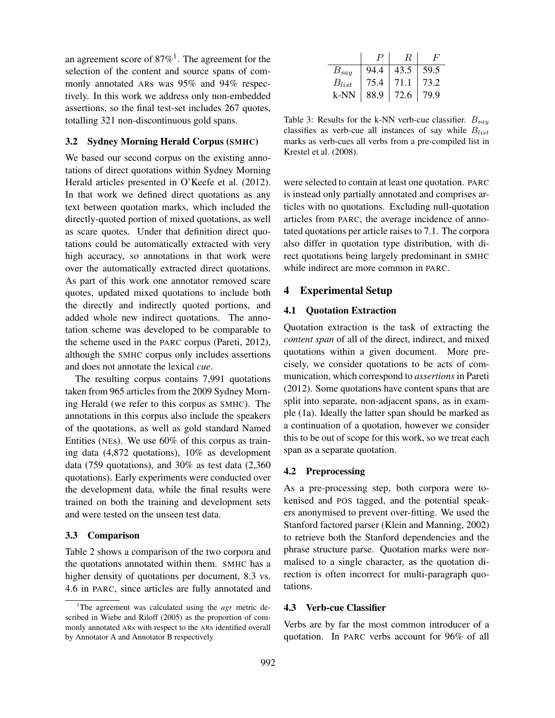an agreement score of  $87\%$ <sup>1</sup>. The agreement for the selection of the content and source spans of commonly annotated ARs was 95% and 94% respectively. In this work we address only non-embedded assertions, so the final test-set includes 267 quotes, totalling 321 non-discontinuous gold spans.

### 3.2 Sydney Morning Herald Corpus (SMHC)

We based our second corpus on the existing annotations of direct quotations within Sydney Morning Herald articles presented in O'Keefe et al. (2012). In that work we defined direct quotations as any text between quotation marks, which included the directly-quoted portion of mixed quotations, as well as scare quotes. Under that definition direct quotations could be automatically extracted with very high accuracy, so annotations in that work were over the automatically extracted direct quotations. As part of this work one annotator removed scare quotes, updated mixed quotations to include both the directly and indirectly quoted portions, and added whole new indirect quotations. The annotation scheme was developed to be comparable to the scheme used in the PARC corpus (Pareti, 2012), although the SMHC corpus only includes assertions and does not annotate the lexical *cue*.

The resulting corpus contains 7,991 quotations taken from 965 articles from the 2009 Sydney Morning Herald (we refer to this corpus as SMHC). The annotations in this corpus also include the speakers of the quotations, as well as gold standard Named Entities (NEs). We use 60% of this corpus as training data (4,872 quotations), 10% as development data (759 quotations), and 30% as test data (2,360 quotations). Early experiments were conducted over the development data, while the final results were trained on both the training and development sets and were tested on the unseen test data.

#### 3.3 Comparison

Table 2 shows a comparison of the two corpora and the quotations annotated within them. SMHC has a higher density of quotations per document, 8.3 vs. 4.6 in PARC, since articles are fully annotated and

|            | υ    | R.   |      |
|------------|------|------|------|
| $B_{say}$  | 94.4 | 43.5 | 59.5 |
| $B_{list}$ | 75.4 | 71.1 | 73.2 |
| k-NN       | 88.9 | 72.6 | 79.9 |

Table 3: Results for the k-NN verb-cue classifier.  $B_{sav}$ classifies as verb-cue all instances of say while  $B_{list}$ marks as verb-cues all verbs from a pre-compiled list in Krestel et al. (2008).

were selected to contain at least one quotation. PARC is instead only partially annotated and comprises articles with no quotations. Excluding null-quotation articles from PARC, the average incidence of annotated quotations per article raises to 7.1. The corpora also differ in quotation type distribution, with direct quotations being largely predominant in SMHC while indirect are more common in PARC.

#### 4 Experimental Setup

#### 4.1 Quotation Extraction

Quotation extraction is the task of extracting the *content span* of all of the direct, indirect, and mixed quotations within a given document. More precisely, we consider quotations to be acts of communication, which correspond to *assertions* in Pareti (2012). Some quotations have content spans that are split into separate, non-adjacent spans, as in example (1a). Ideally the latter span should be marked as a continuation of a quotation, however we consider this to be out of scope for this work, so we treat each span as a separate quotation.

#### 4.2 Preprocessing

As a pre-processing step, both corpora were tokenised and POS tagged, and the potential speakers anonymised to prevent over-fitting. We used the Stanford factored parser (Klein and Manning, 2002) to retrieve both the Stanford dependencies and the phrase structure parse. Quotation marks were normalised to a single character, as the quotation direction is often incorrect for multi-paragraph quotations.

#### 4.3 Verb-cue Classifier

Verbs are by far the most common introducer of a quotation. In PARC verbs account for 96% of all

<sup>&</sup>lt;sup>1</sup>The agreement was calculated using the *agr* metric described in Wiebe and Riloff (2005) as the proportion of commonly annotated ARs with respect to the ARs identified overall by Annotator A and Annotator B respectively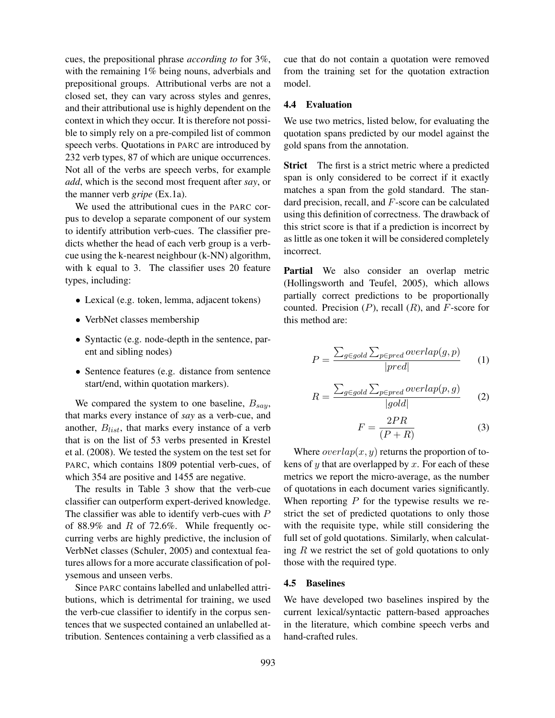cues, the prepositional phrase *according to* for 3%, with the remaining 1% being nouns, adverbials and prepositional groups. Attributional verbs are not a closed set, they can vary across styles and genres, and their attributional use is highly dependent on the context in which they occur. It is therefore not possible to simply rely on a pre-compiled list of common speech verbs. Quotations in PARC are introduced by 232 verb types, 87 of which are unique occurrences. Not all of the verbs are speech verbs, for example *add*, which is the second most frequent after *say*, or the manner verb *gripe* (Ex.1a).

We used the attributional cues in the PARC corpus to develop a separate component of our system to identify attribution verb-cues. The classifier predicts whether the head of each verb group is a verbcue using the k-nearest neighbour (k-NN) algorithm, with k equal to 3. The classifier uses 20 feature types, including:

- Lexical (e.g. token, lemma, adjacent tokens)
- VerbNet classes membership
- Syntactic (e.g. node-depth in the sentence, parent and sibling nodes)
- Sentence features (e.g. distance from sentence start/end, within quotation markers).

We compared the system to one baseline,  $B_{say}$ , that marks every instance of *say* as a verb-cue, and another,  $B_{list}$ , that marks every instance of a verb that is on the list of 53 verbs presented in Krestel et al. (2008). We tested the system on the test set for PARC, which contains 1809 potential verb-cues, of which 354 are positive and 1455 are negative.

The results in Table 3 show that the verb-cue classifier can outperform expert-derived knowledge. The classifier was able to identify verb-cues with P of 88.9% and  $R$  of 72.6%. While frequently occurring verbs are highly predictive, the inclusion of VerbNet classes (Schuler, 2005) and contextual features allows for a more accurate classification of polysemous and unseen verbs.

Since PARC contains labelled and unlabelled attributions, which is detrimental for training, we used the verb-cue classifier to identify in the corpus sentences that we suspected contained an unlabelled attribution. Sentences containing a verb classified as a cue that do not contain a quotation were removed from the training set for the quotation extraction model.

#### 4.4 Evaluation

We use two metrics, listed below, for evaluating the quotation spans predicted by our model against the gold spans from the annotation.

Strict The first is a strict metric where a predicted span is only considered to be correct if it exactly matches a span from the gold standard. The standard precision, recall, and F-score can be calculated using this definition of correctness. The drawback of this strict score is that if a prediction is incorrect by as little as one token it will be considered completely incorrect.

Partial We also consider an overlap metric (Hollingsworth and Teufel, 2005), which allows partially correct predictions to be proportionally counted. Precision  $(P)$ , recall  $(R)$ , and F-score for this method are:

$$
P = \frac{\sum_{g \in gold} \sum_{p \in pred} overlap(g, p)}{|pred|} \tag{1}
$$

$$
R = \frac{\sum_{g \in gold} \sum_{p \in pred} overlap(p, g)}{|gold|} \tag{2}
$$

$$
F = \frac{2PR}{(P+R)}\tag{3}
$$

Where  $overlap(x, y)$  returns the proportion of tokens of  $y$  that are overlapped by  $x$ . For each of these metrics we report the micro-average, as the number of quotations in each document varies significantly. When reporting  $P$  for the typewise results we restrict the set of predicted quotations to only those with the requisite type, while still considering the full set of gold quotations. Similarly, when calculating  $R$  we restrict the set of gold quotations to only those with the required type.

#### 4.5 Baselines

We have developed two baselines inspired by the current lexical/syntactic pattern-based approaches in the literature, which combine speech verbs and hand-crafted rules.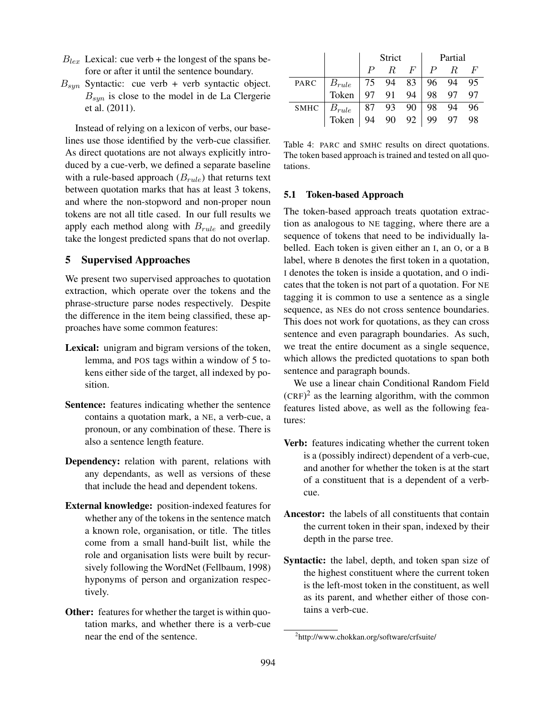- $B_{lex}$  Lexical: cue verb + the longest of the spans before or after it until the sentence boundary.
- $B_{sun}$  Syntactic: cue verb + verb syntactic object.  $B_{syn}$  is close to the model in de La Clergerie et al. (2011).

Instead of relying on a lexicon of verbs, our baselines use those identified by the verb-cue classifier. As direct quotations are not always explicitly introduced by a cue-verb, we defined a separate baseline with a rule-based approach  $(B_{rule})$  that returns text between quotation marks that has at least 3 tokens, and where the non-stopword and non-proper noun tokens are not all title cased. In our full results we apply each method along with  $B_{rule}$  and greedily take the longest predicted spans that do not overlap.

### 5 Supervised Approaches

We present two supervised approaches to quotation extraction, which operate over the tokens and the phrase-structure parse nodes respectively. Despite the difference in the item being classified, these approaches have some common features:

- Lexical: unigram and bigram versions of the token, lemma, and POS tags within a window of 5 tokens either side of the target, all indexed by position.
- Sentence: features indicating whether the sentence contains a quotation mark, a NE, a verb-cue, a pronoun, or any combination of these. There is also a sentence length feature.
- Dependency: relation with parent, relations with any dependants, as well as versions of these that include the head and dependent tokens.
- External knowledge: position-indexed features for whether any of the tokens in the sentence match a known role, organisation, or title. The titles come from a small hand-built list, while the role and organisation lists were built by recursively following the WordNet (Fellbaum, 1998) hyponyms of person and organization respectively.
- Other: features for whether the target is within quotation marks, and whether there is a verb-cue near the end of the sentence.

|      |                                                        | Strict           |                                          |       | Partial |       |                  |  |
|------|--------------------------------------------------------|------------------|------------------------------------------|-------|---------|-------|------------------|--|
|      |                                                        | $\boldsymbol{P}$ | $R_{-}$                                  | $F$ : |         | $P$ R | $\boldsymbol{F}$ |  |
| PARC | $B_{rule}$<br>Token                                    |                  | 75 94 83 96 94 95<br>  97 91 94 98 97 97 |       |         |       |                  |  |
|      |                                                        |                  |                                          |       |         |       |                  |  |
|      | SMHC $\begin{array}{ c c } B_{rule} \end{array}$ Token |                  | 87 93 90<br>94 90 92                     |       | 98      | 94 96 |                  |  |
|      |                                                        |                  |                                          |       | 99      | 97    | 98               |  |

Table 4: PARC and SMHC results on direct quotations. The token based approach is trained and tested on all quotations.

#### 5.1 Token-based Approach

The token-based approach treats quotation extraction as analogous to NE tagging, where there are a sequence of tokens that need to be individually labelled. Each token is given either an I, an O, or a B label, where B denotes the first token in a quotation, I denotes the token is inside a quotation, and O indicates that the token is not part of a quotation. For NE tagging it is common to use a sentence as a single sequence, as NEs do not cross sentence boundaries. This does not work for quotations, as they can cross sentence and even paragraph boundaries. As such, we treat the entire document as a single sequence, which allows the predicted quotations to span both sentence and paragraph bounds.

We use a linear chain Conditional Random Field  $(CRF)^2$  as the learning algorithm, with the common features listed above, as well as the following features:

- Verb: features indicating whether the current token is a (possibly indirect) dependent of a verb-cue, and another for whether the token is at the start of a constituent that is a dependent of a verbcue.
- Ancestor: the labels of all constituents that contain the current token in their span, indexed by their depth in the parse tree.
- Syntactic: the label, depth, and token span size of the highest constituent where the current token is the left-most token in the constituent, as well as its parent, and whether either of those contains a verb-cue.

<sup>2</sup> http://www.chokkan.org/software/crfsuite/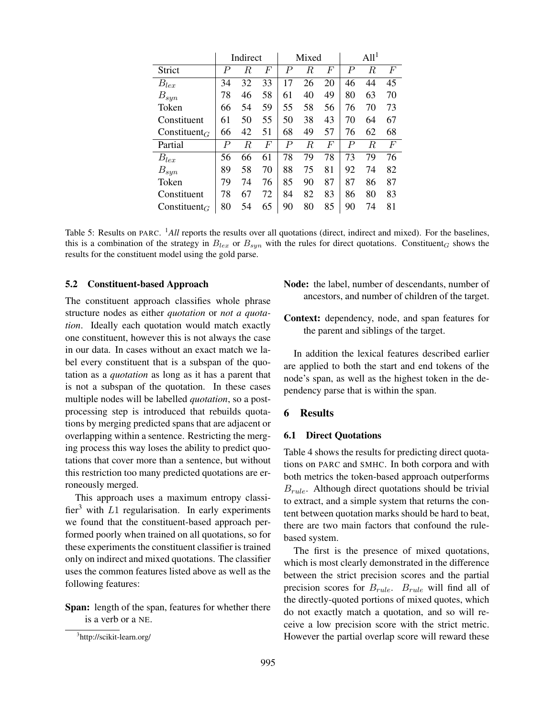|                                       | Indirect |                  | Mixed            |                  | $\mathrm{All}^1$ |    |                  |                  |                  |
|---------------------------------------|----------|------------------|------------------|------------------|------------------|----|------------------|------------------|------------------|
| <b>Strict</b>                         | P        | R                | F                | $\boldsymbol{P}$ | R.               | F  | $\boldsymbol{P}$ | R                | $\boldsymbol{F}$ |
| $B_{lex}$                             | 34       | 32               | 33               | 17               | 26               | 20 | 46               | 44               | 45               |
| $B_{syn}$                             | 78       | 46               | 58               | 61               | 40               | 49 | 80               | 63               | 70               |
| Token                                 | 66       | 54               | 59               | 55               | 58               | 56 | 76               | 70               | 73               |
| Constituent                           | 61       | 50               | 55               | 50               | 38               | 43 | 70               | 64               | 67               |
| $Constituent_G$                       | 66       | 42               | 51               | 68               | 49               | 57 | 76               | 62               | 68               |
| Partial                               | Р        | $\boldsymbol{R}$ | $\boldsymbol{F}$ | P                | R                | F  | $\boldsymbol{P}$ | $\boldsymbol{R}$ | $\,F$            |
| $B_{lex}$                             | 56       | 66               | 61               | 78               | 79               | 78 | 73               | 79               | 76               |
| $B_{syn}$                             | 89       | 58               | 70               | 88               | 75               | 81 | 92               | 74               | 82               |
| Token                                 | 79       | 74               | 76               | 85               | 90               | 87 | 87               | 86               | 87               |
| Constituent                           | 78       | 67               | 72               | 84               | 82               | 83 | 86               | 80               | 83               |
| Constituent <sub><math>G</math></sub> | 80       | 54               | 65               | 90               | 80               | 85 | 90               | 74               | 81               |

Table 5: Results on PARC. <sup>1</sup>All reports the results over all quotations (direct, indirect and mixed). For the baselines, this is a combination of the strategy in  $B_{lex}$  or  $B_{sun}$  with the rules for direct quotations. Constituent<sub>G</sub> shows the results for the constituent model using the gold parse.

### 5.2 Constituent-based Approach

The constituent approach classifies whole phrase structure nodes as either *quotation* or *not a quotation*. Ideally each quotation would match exactly one constituent, however this is not always the case in our data. In cases without an exact match we label every constituent that is a subspan of the quotation as a *quotation* as long as it has a parent that is not a subspan of the quotation. In these cases multiple nodes will be labelled *quotation*, so a postprocessing step is introduced that rebuilds quotations by merging predicted spans that are adjacent or overlapping within a sentence. Restricting the merging process this way loses the ability to predict quotations that cover more than a sentence, but without this restriction too many predicted quotations are erroneously merged.

This approach uses a maximum entropy classifier<sup>3</sup> with  $L1$  regularisation. In early experiments we found that the constituent-based approach performed poorly when trained on all quotations, so for these experiments the constituent classifier is trained only on indirect and mixed quotations. The classifier uses the common features listed above as well as the following features:

Span: length of the span, features for whether there is a verb or a NE.

- Node: the label, number of descendants, number of ancestors, and number of children of the target.
- Context: dependency, node, and span features for the parent and siblings of the target.

In addition the lexical features described earlier are applied to both the start and end tokens of the node's span, as well as the highest token in the dependency parse that is within the span.

#### 6 Results

#### 6.1 Direct Quotations

Table 4 shows the results for predicting direct quotations on PARC and SMHC. In both corpora and with both metrics the token-based approach outperforms  $B_{rule}$ . Although direct quotations should be trivial to extract, and a simple system that returns the content between quotation marks should be hard to beat, there are two main factors that confound the rulebased system.

The first is the presence of mixed quotations, which is most clearly demonstrated in the difference between the strict precision scores and the partial precision scores for  $B_{rule}$ .  $B_{rule}$  will find all of the directly-quoted portions of mixed quotes, which do not exactly match a quotation, and so will receive a low precision score with the strict metric. However the partial overlap score will reward these

<sup>&</sup>lt;sup>3</sup>http://scikit-learn.org/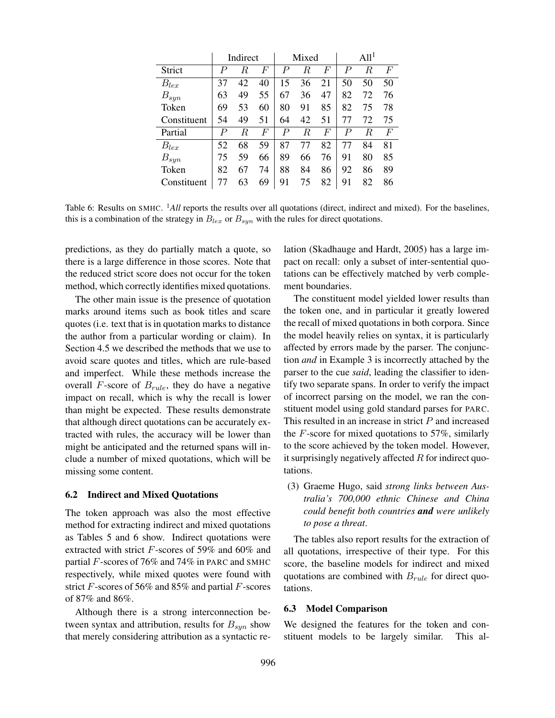|             | Indirect |    | Mixed |                  |    | All' |    |    |                  |
|-------------|----------|----|-------|------------------|----|------|----|----|------------------|
| Strict      | P        | R  | F     | P                | R  | F    | P  | R  | $\boldsymbol{F}$ |
| $B_{lex}$   | 37       | 42 | 40    | 15               | 36 | 21   | 50 | 50 | 50               |
| $B_{syn}$   | 63       | 49 | 55    | 67               | 36 | 47   | 82 | 72 | 76               |
| Token       | 69       | 53 | 60    | 80               | 91 | 85   | 82 | 75 | 78               |
| Constituent | 54       | 49 | 51    | 64               | 42 | 51   | 77 | 72 | 75               |
| Partial     | Р        | R  | F     | $\boldsymbol{P}$ | R  | F    | P  | R  | F                |
| $B_{lex}$   | 52       | 68 | 59    | 87               | 77 | 82   | 77 | 84 | 81               |
| $B_{syn}$   | 75       | 59 | 66    | 89               | 66 | 76   | 91 | 80 | 85               |
| Token       | 82       | 67 | 74    | 88               | 84 | 86   | 92 | 86 | 89               |
| Constituent |          | 63 | 69    | 91               | 75 | 82   | 91 | 82 | 86               |

Table 6: Results on SMHC. <sup>1</sup>All reports the results over all quotations (direct, indirect and mixed). For the baselines, this is a combination of the strategy in  $B_{lex}$  or  $B_{syn}$  with the rules for direct quotations.

predictions, as they do partially match a quote, so there is a large difference in those scores. Note that the reduced strict score does not occur for the token method, which correctly identifies mixed quotations.

The other main issue is the presence of quotation marks around items such as book titles and scare quotes (i.e. text that is in quotation marks to distance the author from a particular wording or claim). In Section 4.5 we described the methods that we use to avoid scare quotes and titles, which are rule-based and imperfect. While these methods increase the overall *F*-score of  $B_{rule}$ , they do have a negative impact on recall, which is why the recall is lower than might be expected. These results demonstrate that although direct quotations can be accurately extracted with rules, the accuracy will be lower than might be anticipated and the returned spans will include a number of mixed quotations, which will be missing some content.

#### 6.2 Indirect and Mixed Quotations

The token approach was also the most effective method for extracting indirect and mixed quotations as Tables 5 and 6 show. Indirect quotations were extracted with strict F-scores of 59% and 60% and partial F-scores of 76% and 74% in PARC and SMHC respectively, while mixed quotes were found with strict  $F$ -scores of 56% and 85% and partial  $F$ -scores of 87% and 86%.

Although there is a strong interconnection between syntax and attribution, results for  $B_{syn}$  show that merely considering attribution as a syntactic relation (Skadhauge and Hardt, 2005) has a large impact on recall: only a subset of inter-sentential quotations can be effectively matched by verb complement boundaries.

The constituent model yielded lower results than the token one, and in particular it greatly lowered the recall of mixed quotations in both corpora. Since the model heavily relies on syntax, it is particularly affected by errors made by the parser. The conjunction *and* in Example 3 is incorrectly attached by the parser to the cue *said*, leading the classifier to identify two separate spans. In order to verify the impact of incorrect parsing on the model, we ran the constituent model using gold standard parses for PARC. This resulted in an increase in strict P and increased the  $F$ -score for mixed quotations to 57%, similarly to the score achieved by the token model. However, it surprisingly negatively affected  $R$  for indirect quotations.

(3) Graeme Hugo, said *strong links between Australia's 700,000 ethnic Chinese and China could benefit both countries and were unlikely to pose a threat*.

The tables also report results for the extraction of all quotations, irrespective of their type. For this score, the baseline models for indirect and mixed quotations are combined with  $B_{rule}$  for direct quotations.

#### 6.3 Model Comparison

We designed the features for the token and constituent models to be largely similar. This al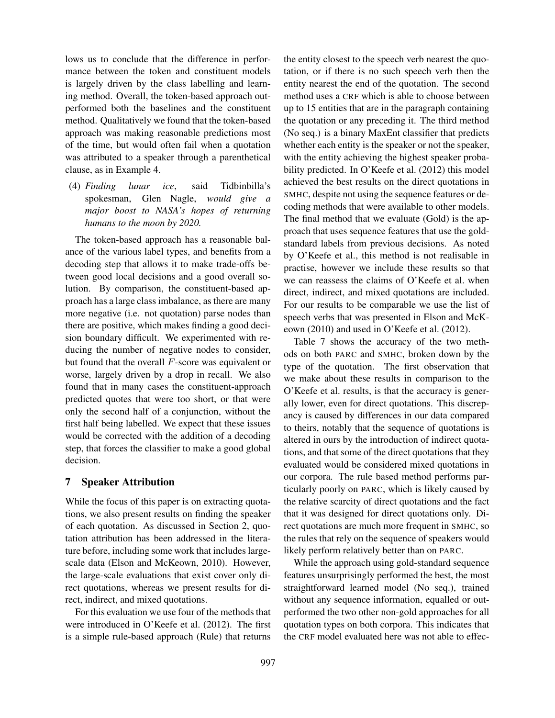lows us to conclude that the difference in performance between the token and constituent models is largely driven by the class labelling and learning method. Overall, the token-based approach outperformed both the baselines and the constituent method. Qualitatively we found that the token-based approach was making reasonable predictions most of the time, but would often fail when a quotation was attributed to a speaker through a parenthetical clause, as in Example 4.

(4) *Finding lunar ice*, said Tidbinbilla's spokesman, Glen Nagle, *would give a major boost to NASA's hopes of returning humans to the moon by 2020.*

The token-based approach has a reasonable balance of the various label types, and benefits from a decoding step that allows it to make trade-offs between good local decisions and a good overall solution. By comparison, the constituent-based approach has a large class imbalance, as there are many more negative (i.e. not quotation) parse nodes than there are positive, which makes finding a good decision boundary difficult. We experimented with reducing the number of negative nodes to consider, but found that the overall  $F$ -score was equivalent or worse, largely driven by a drop in recall. We also found that in many cases the constituent-approach predicted quotes that were too short, or that were only the second half of a conjunction, without the first half being labelled. We expect that these issues would be corrected with the addition of a decoding step, that forces the classifier to make a good global decision.

### 7 Speaker Attribution

While the focus of this paper is on extracting quotations, we also present results on finding the speaker of each quotation. As discussed in Section 2, quotation attribution has been addressed in the literature before, including some work that includes largescale data (Elson and McKeown, 2010). However, the large-scale evaluations that exist cover only direct quotations, whereas we present results for direct, indirect, and mixed quotations.

For this evaluation we use four of the methods that were introduced in O'Keefe et al. (2012). The first is a simple rule-based approach (Rule) that returns the entity closest to the speech verb nearest the quotation, or if there is no such speech verb then the entity nearest the end of the quotation. The second method uses a CRF which is able to choose between up to 15 entities that are in the paragraph containing the quotation or any preceding it. The third method (No seq.) is a binary MaxEnt classifier that predicts whether each entity is the speaker or not the speaker, with the entity achieving the highest speaker probability predicted. In O'Keefe et al. (2012) this model achieved the best results on the direct quotations in SMHC, despite not using the sequence features or decoding methods that were available to other models. The final method that we evaluate (Gold) is the approach that uses sequence features that use the goldstandard labels from previous decisions. As noted by O'Keefe et al., this method is not realisable in practise, however we include these results so that we can reassess the claims of O'Keefe et al. when direct, indirect, and mixed quotations are included. For our results to be comparable we use the list of speech verbs that was presented in Elson and McKeown (2010) and used in O'Keefe et al. (2012).

Table 7 shows the accuracy of the two methods on both PARC and SMHC, broken down by the type of the quotation. The first observation that we make about these results in comparison to the O'Keefe et al. results, is that the accuracy is generally lower, even for direct quotations. This discrepancy is caused by differences in our data compared to theirs, notably that the sequence of quotations is altered in ours by the introduction of indirect quotations, and that some of the direct quotations that they evaluated would be considered mixed quotations in our corpora. The rule based method performs particularly poorly on PARC, which is likely caused by the relative scarcity of direct quotations and the fact that it was designed for direct quotations only. Direct quotations are much more frequent in SMHC, so the rules that rely on the sequence of speakers would likely perform relatively better than on PARC.

While the approach using gold-standard sequence features unsurprisingly performed the best, the most straightforward learned model (No seq.), trained without any sequence information, equalled or outperformed the two other non-gold approaches for all quotation types on both corpora. This indicates that the CRF model evaluated here was not able to effec-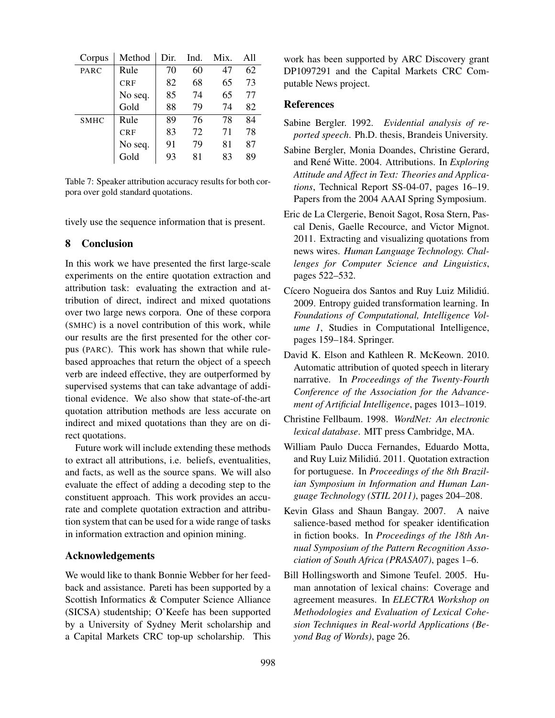| Corpus      | Method     | Dir. | Ind. | Mix. | A11 |
|-------------|------------|------|------|------|-----|
| PARC        | Rule       | 70   | 60   | 47   | 62  |
|             | <b>CRF</b> | 82   | 68   | 65   | 73  |
|             | No seq.    | 85   | 74   | 65   | 77  |
|             | Gold       | 88   | 79   | 74   | 82  |
| <b>SMHC</b> | Rule       | 89   | 76   | 78   | 84  |
|             | <b>CRF</b> | 83   | 72   | 71   | 78  |
|             | No seq.    | 91   | 79   | 81   | 87  |
|             | Gold       | 93   | 81   | 83   | 89  |

Table 7: Speaker attribution accuracy results for both corpora over gold standard quotations.

tively use the sequence information that is present.

# 8 Conclusion

In this work we have presented the first large-scale experiments on the entire quotation extraction and attribution task: evaluating the extraction and attribution of direct, indirect and mixed quotations over two large news corpora. One of these corpora (SMHC) is a novel contribution of this work, while our results are the first presented for the other corpus (PARC). This work has shown that while rulebased approaches that return the object of a speech verb are indeed effective, they are outperformed by supervised systems that can take advantage of additional evidence. We also show that state-of-the-art quotation attribution methods are less accurate on indirect and mixed quotations than they are on direct quotations.

Future work will include extending these methods to extract all attributions, i.e. beliefs, eventualities, and facts, as well as the source spans. We will also evaluate the effect of adding a decoding step to the constituent approach. This work provides an accurate and complete quotation extraction and attribution system that can be used for a wide range of tasks in information extraction and opinion mining.

### Acknowledgements

We would like to thank Bonnie Webber for her feedback and assistance. Pareti has been supported by a Scottish Informatics & Computer Science Alliance (SICSA) studentship; O'Keefe has been supported by a University of Sydney Merit scholarship and a Capital Markets CRC top-up scholarship. This work has been supported by ARC Discovery grant DP1097291 and the Capital Markets CRC Computable News project.

# References

- Sabine Bergler. 1992. *Evidential analysis of reported speech*. Ph.D. thesis, Brandeis University.
- Sabine Bergler, Monia Doandes, Christine Gerard, and René Witte. 2004. Attributions. In *Exploring Attitude and Affect in Text: Theories and Applications*, Technical Report SS-04-07, pages 16–19. Papers from the 2004 AAAI Spring Symposium.
- Eric de La Clergerie, Benoit Sagot, Rosa Stern, Pascal Denis, Gaelle Recource, and Victor Mignot. 2011. Extracting and visualizing quotations from news wires. *Human Language Technology. Challenges for Computer Science and Linguistics*, pages 522–532.
- Cícero Nogueira dos Santos and Ruy Luiz Milidiú. 2009. Entropy guided transformation learning. In *Foundations of Computational, Intelligence Volume 1*, Studies in Computational Intelligence, pages 159–184. Springer.
- David K. Elson and Kathleen R. McKeown. 2010. Automatic attribution of quoted speech in literary narrative. In *Proceedings of the Twenty-Fourth Conference of the Association for the Advancement of Artificial Intelligence*, pages 1013–1019.
- Christine Fellbaum. 1998. *WordNet: An electronic lexical database*. MIT press Cambridge, MA.
- William Paulo Ducca Fernandes, Eduardo Motta, and Ruy Luiz Milidiú. 2011. Quotation extraction for portuguese. In *Proceedings of the 8th Brazilian Symposium in Information and Human Language Technology (STIL 2011)*, pages 204–208.
- Kevin Glass and Shaun Bangay. 2007. A naive salience-based method for speaker identification in fiction books. In *Proceedings of the 18th Annual Symposium of the Pattern Recognition Association of South Africa (PRASA07)*, pages 1–6.
- Bill Hollingsworth and Simone Teufel. 2005. Human annotation of lexical chains: Coverage and agreement measures. In *ELECTRA Workshop on Methodologies and Evaluation of Lexical Cohesion Techniques in Real-world Applications (Beyond Bag of Words)*, page 26.